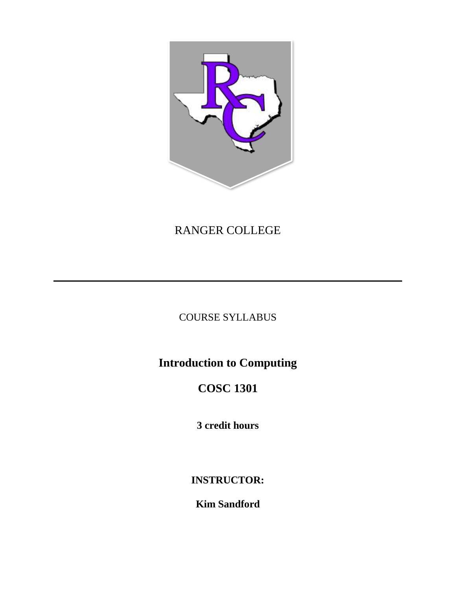

## RANGER COLLEGE

## COURSE SYLLABUS

# **Introduction to Computing**

# **COSC 1301**

**3 credit hours**

**INSTRUCTOR:**

**Kim Sandford**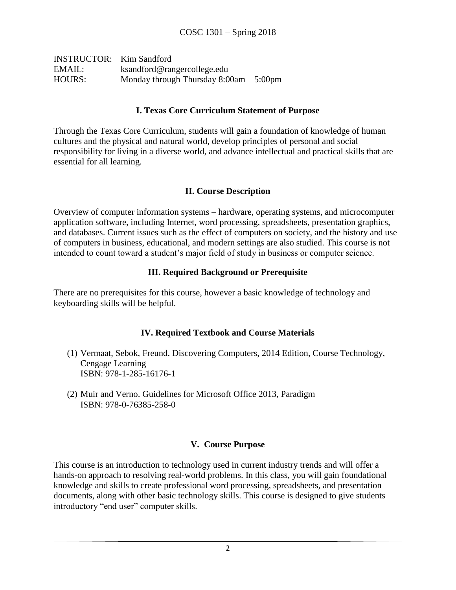| <b>INSTRUCTOR:</b> Kim Sandford |                                           |
|---------------------------------|-------------------------------------------|
| EMAIL:                          | ksandford@rangercollege.edu               |
| HOURS:                          | Monday through Thursday $8:00am - 5:00pm$ |

#### **I. Texas Core Curriculum Statement of Purpose**

Through the Texas Core Curriculum, students will gain a foundation of knowledge of human cultures and the physical and natural world, develop principles of personal and social responsibility for living in a diverse world, and advance intellectual and practical skills that are essential for all learning.

### **II. Course Description**

Overview of computer information systems – hardware, operating systems, and microcomputer application software, including Internet, word processing, spreadsheets, presentation graphics, and databases. Current issues such as the effect of computers on society, and the history and use of computers in business, educational, and modern settings are also studied. This course is not intended to count toward a student's major field of study in business or computer science.

### **III. Required Background or Prerequisite**

There are no prerequisites for this course, however a basic knowledge of technology and keyboarding skills will be helpful.

#### **IV. Required Textbook and Course Materials**

- (1) Vermaat, Sebok, Freund. Discovering Computers, 2014 Edition, Course Technology, Cengage Learning ISBN: 978-1-285-16176-1
- (2) Muir and Verno. Guidelines for Microsoft Office 2013, Paradigm ISBN: 978-0-76385-258-0

#### **V. Course Purpose**

This course is an introduction to technology used in current industry trends and will offer a hands-on approach to resolving real-world problems. In this class, you will gain foundational knowledge and skills to create professional word processing, spreadsheets, and presentation documents, along with other basic technology skills. This course is designed to give students introductory "end user" computer skills.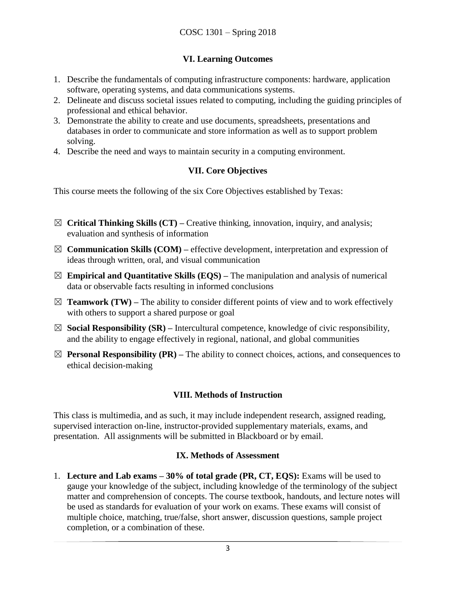## **VI. Learning Outcomes**

- 1. Describe the fundamentals of computing infrastructure components: hardware, application software, operating systems, and data communications systems.
- 2. Delineate and discuss societal issues related to computing, including the guiding principles of professional and ethical behavior.
- 3. Demonstrate the ability to create and use documents, spreadsheets, presentations and databases in order to communicate and store information as well as to support problem solving.
- 4. Describe the need and ways to maintain security in a computing environment.

## **VII. Core Objectives**

This course meets the following of the six Core Objectives established by Texas:

- ☒ **Critical Thinking Skills (CT) –** Creative thinking, innovation, inquiry, and analysis; evaluation and synthesis of information
- $\boxtimes$  **Communication Skills (COM)** effective development, interpretation and expression of ideas through written, oral, and visual communication
- $\boxtimes$  **Empirical and Quantitative Skills (EQS)** The manipulation and analysis of numerical data or observable facts resulting in informed conclusions
- $\boxtimes$  **Teamwork (TW)** The ability to consider different points of view and to work effectively with others to support a shared purpose or goal
- $\boxtimes$  **Social Responsibility (SR)** Intercultural competence, knowledge of civic responsibility, and the ability to engage effectively in regional, national, and global communities
- $\boxtimes$  **Personal Responsibility (PR)** The ability to connect choices, actions, and consequences to ethical decision-making

## **VIII. Methods of Instruction**

This class is multimedia, and as such, it may include independent research, assigned reading, supervised interaction on-line, instructor-provided supplementary materials, exams, and presentation. All assignments will be submitted in Blackboard or by email.

## **IX. Methods of Assessment**

1. **Lecture and Lab exams – 30% of total grade (PR, CT, EQS):** Exams will be used to gauge your knowledge of the subject, including knowledge of the terminology of the subject matter and comprehension of concepts. The course textbook, handouts, and lecture notes will be used as standards for evaluation of your work on exams. These exams will consist of multiple choice, matching, true/false, short answer, discussion questions, sample project completion, or a combination of these.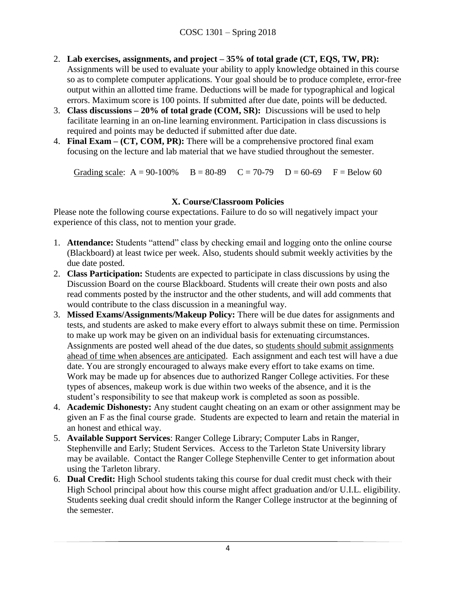- 2. **Lab exercises, assignments, and project – 35% of total grade (CT, EQS, TW, PR):** Assignments will be used to evaluate your ability to apply knowledge obtained in this course so as to complete computer applications. Your goal should be to produce complete, error-free output within an allotted time frame. Deductions will be made for typographical and logical errors. Maximum score is 100 points. If submitted after due date, points will be deducted.
- 3. **Class discussions – 20% of total grade (COM, SR):** Discussions will be used to help facilitate learning in an on-line learning environment. Participation in class discussions is required and points may be deducted if submitted after due date.
- 4. **Final Exam – (CT, COM, PR):** There will be a comprehensive proctored final exam focusing on the lecture and lab material that we have studied throughout the semester.

Grading scale:  $A = 90-100\%$   $B = 80-89$   $C = 70-79$   $D = 60-69$   $F = Below 60$ 

## **X. Course/Classroom Policies**

Please note the following course expectations. Failure to do so will negatively impact your experience of this class, not to mention your grade.

- 1. **Attendance:** Students "attend" class by checking email and logging onto the online course (Blackboard) at least twice per week. Also, students should submit weekly activities by the due date posted.
- 2. **Class Participation:** Students are expected to participate in class discussions by using the Discussion Board on the course Blackboard. Students will create their own posts and also read comments posted by the instructor and the other students, and will add comments that would contribute to the class discussion in a meaningful way.
- 3. **Missed Exams/Assignments/Makeup Policy:** There will be due dates for assignments and tests, and students are asked to make every effort to always submit these on time. Permission to make up work may be given on an individual basis for extenuating circumstances. Assignments are posted well ahead of the due dates, so students should submit assignments ahead of time when absences are anticipated. Each assignment and each test will have a due date. You are strongly encouraged to always make every effort to take exams on time. Work may be made up for absences due to authorized Ranger College activities. For these types of absences, makeup work is due within two weeks of the absence, and it is the student's responsibility to see that makeup work is completed as soon as possible.
- 4. **Academic Dishonesty:** Any student caught cheating on an exam or other assignment may be given an F as the final course grade. Students are expected to learn and retain the material in an honest and ethical way.
- 5. **Available Support Services**: Ranger College Library; Computer Labs in Ranger, Stephenville and Early; Student Services. Access to the Tarleton State University library may be available. Contact the Ranger College Stephenville Center to get information about using the Tarleton library.
- 6. **Dual Credit:** High School students taking this course for dual credit must check with their High School principal about how this course might affect graduation and/or U.I.L. eligibility. Students seeking dual credit should inform the Ranger College instructor at the beginning of the semester.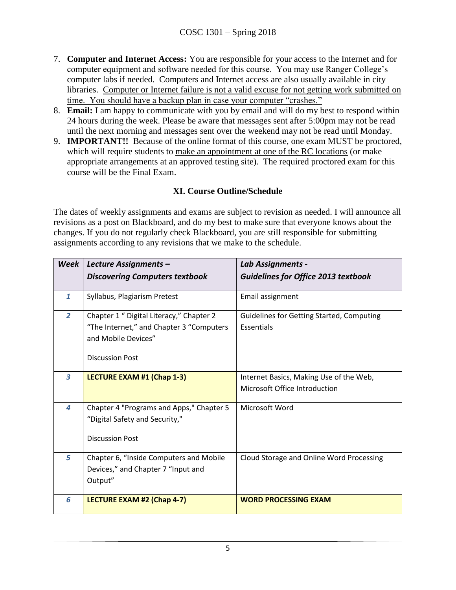- 7. **Computer and Internet Access:** You are responsible for your access to the Internet and for computer equipment and software needed for this course. You may use Ranger College's computer labs if needed. Computers and Internet access are also usually available in city libraries. Computer or Internet failure is not a valid excuse for not getting work submitted on time. You should have a backup plan in case your computer "crashes."
- 8. **Email:** I am happy to communicate with you by email and will do my best to respond within 24 hours during the week. Please be aware that messages sent after 5:00pm may not be read until the next morning and messages sent over the weekend may not be read until Monday.
- 9. **IMPORTANT!!** Because of the online format of this course, one exam MUST be proctored, which will require students to make an appointment at one of the RC locations (or make appropriate arrangements at an approved testing site). The required proctored exam for this course will be the Final Exam.

## **XI. Course Outline/Schedule**

The dates of weekly assignments and exams are subject to revision as needed. I will announce all revisions as a post on Blackboard, and do my best to make sure that everyone knows about the changes. If you do not regularly check Blackboard, you are still responsible for submitting assignments according to any revisions that we make to the schedule.

| <b>Week</b>    | Lecture Assignments -<br><b>Discovering Computers textbook</b>                                                                        | Lab Assignments -<br><b>Guidelines for Office 2013 textbook</b>          |
|----------------|---------------------------------------------------------------------------------------------------------------------------------------|--------------------------------------------------------------------------|
| $\mathbf{1}$   | Syllabus, Plagiarism Pretest                                                                                                          | Email assignment                                                         |
| $\overline{2}$ | Chapter 1 " Digital Literacy," Chapter 2<br>"The Internet," and Chapter 3 "Computers<br>and Mobile Devices"<br><b>Discussion Post</b> | <b>Guidelines for Getting Started, Computing</b><br>Essentials           |
| 3              | LECTURE EXAM #1 (Chap 1-3)                                                                                                            | Internet Basics, Making Use of the Web,<br>Microsoft Office Introduction |
| 4              | Chapter 4 "Programs and Apps," Chapter 5<br>"Digital Safety and Security,"<br><b>Discussion Post</b>                                  | Microsoft Word                                                           |
| 5              | Chapter 6, "Inside Computers and Mobile<br>Devices," and Chapter 7 "Input and<br>Output"                                              | Cloud Storage and Online Word Processing                                 |
| 6              | LECTURE EXAM #2 (Chap 4-7)                                                                                                            | <b>WORD PROCESSING EXAM</b>                                              |